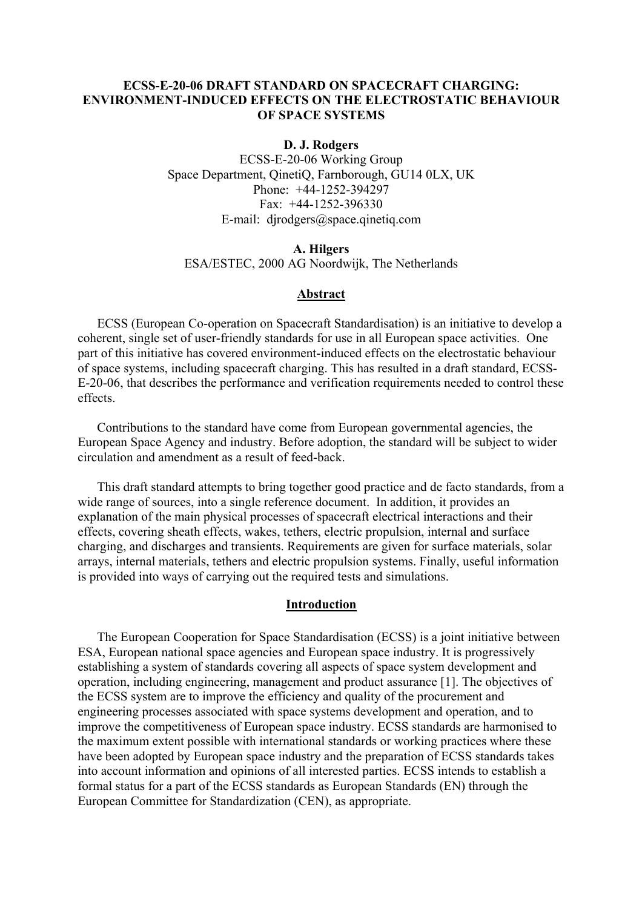# **ECSS-E-20-06 DRAFT STANDARD ON SPACECRAFT CHARGING: ENVIRONMENT-INDUCED EFFECTS ON THE ELECTROSTATIC BEHAVIOUR OF SPACE SYSTEMS**

#### **D. J. Rodgers**

ECSS-E-20-06 Working Group Space Department, QinetiQ, Farnborough, GU14 0LX, UK Phone: +44-1252-394297 Fax:  $+44-1252-396330$ E-mail: djrodgers@space.qinetiq.com

### **A. Hilgers**  ESA/ESTEC, 2000 AG Noordwijk, The Netherlands

### **Abstract**

ECSS (European Co-operation on Spacecraft Standardisation) is an initiative to develop a coherent, single set of user-friendly standards for use in all European space activities. One part of this initiative has covered environment-induced effects on the electrostatic behaviour of space systems, including spacecraft charging. This has resulted in a draft standard, ECSS-E-20-06, that describes the performance and verification requirements needed to control these effects.

Contributions to the standard have come from European governmental agencies, the European Space Agency and industry. Before adoption, the standard will be subject to wider circulation and amendment as a result of feed-back.

This draft standard attempts to bring together good practice and de facto standards, from a wide range of sources, into a single reference document. In addition, it provides an explanation of the main physical processes of spacecraft electrical interactions and their effects, covering sheath effects, wakes, tethers, electric propulsion, internal and surface charging, and discharges and transients. Requirements are given for surface materials, solar arrays, internal materials, tethers and electric propulsion systems. Finally, useful information is provided into ways of carrying out the required tests and simulations.

#### **Introduction**

The European Cooperation for Space Standardisation (ECSS) is a joint initiative between ESA, European national space agencies and European space industry. It is progressively establishing a system of standards covering all aspects of space system development and operation, including engineering, management and product assurance [1]. The objectives of the ECSS system are to improve the efficiency and quality of the procurement and engineering processes associated with space systems development and operation, and to improve the competitiveness of European space industry. ECSS standards are harmonised to the maximum extent possible with international standards or working practices where these have been adopted by European space industry and the preparation of ECSS standards takes into account information and opinions of all interested parties. ECSS intends to establish a formal status for a part of the ECSS standards as European Standards (EN) through the European Committee for Standardization (CEN), as appropriate.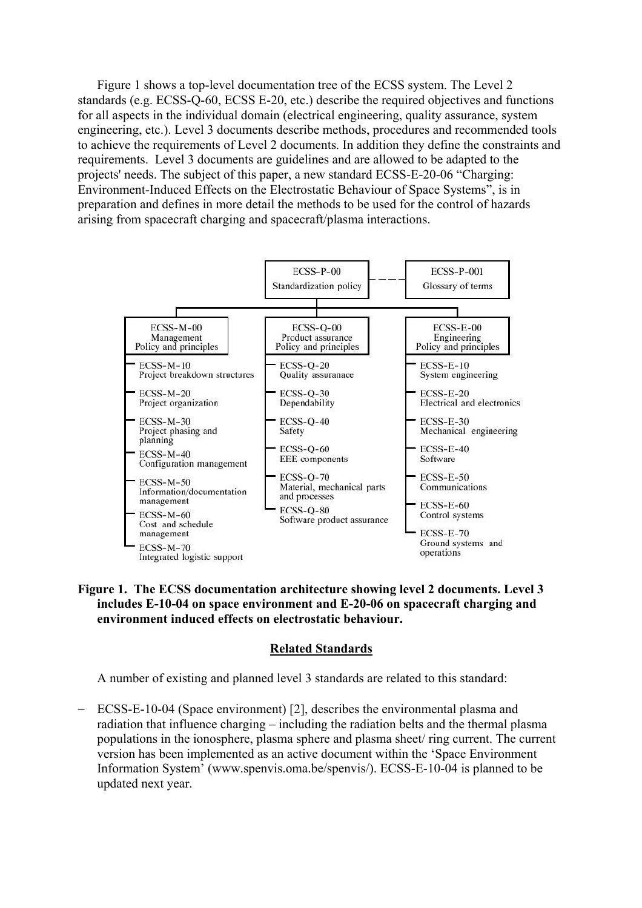Figure 1 shows a top-level documentation tree of the ECSS system. The Level 2 standards (e.g. ECSS-Q-60, ECSS E-20, etc.) describe the required objectives and functions for all aspects in the individual domain (electrical engineering, quality assurance, system engineering, etc.). Level 3 documents describe methods, procedures and recommended tools to achieve the requirements of Level 2 documents. In addition they define the constraints and requirements. Level 3 documents are guidelines and are allowed to be adapted to the projects' needs. The subject of this paper, a new standard ECSS-E-20-06 "Charging: Environment-Induced Effects on the Electrostatic Behaviour of Space Systems", is in preparation and defines in more detail the methods to be used for the control of hazards arising from spacecraft charging and spacecraft/plasma interactions.





### **Related Standards**

A number of existing and planned level 3 standards are related to this standard:

ECSS-E-10-04 (Space environment) [2], describes the environmental plasma and radiation that influence charging – including the radiation belts and the thermal plasma populations in the ionosphere, plasma sphere and plasma sheet/ ring current. The current version has been implemented as an active document within the 'Space Environment Information System' (www.spenvis.oma.be/spenvis/). ECSS-E-10-04 is planned to be updated next year.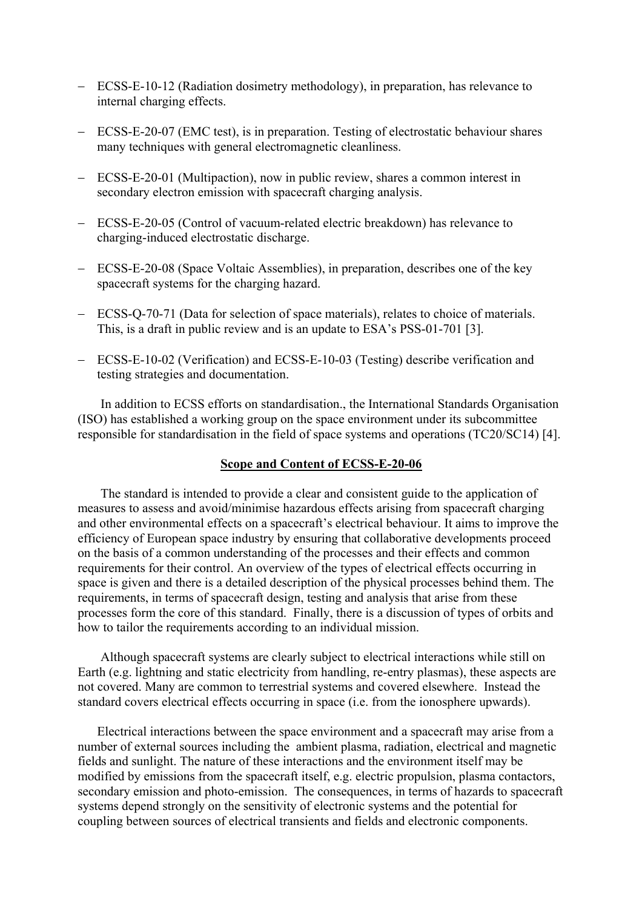- − ECSS-E-10-12 (Radiation dosimetry methodology), in preparation, has relevance to internal charging effects.
- − ECSS-E-20-07 (EMC test), is in preparation. Testing of electrostatic behaviour shares many techniques with general electromagnetic cleanliness.
- − ECSS-E-20-01 (Multipaction), now in public review, shares a common interest in secondary electron emission with spacecraft charging analysis.
- − ECSS-E-20-05 (Control of vacuum-related electric breakdown) has relevance to charging-induced electrostatic discharge.
- − ECSS-E-20-08 (Space Voltaic Assemblies), in preparation, describes one of the key spacecraft systems for the charging hazard.
- − ECSS-Q-70-71 (Data for selection of space materials), relates to choice of materials. This, is a draft in public review and is an update to ESA's PSS-01-701 [3].
- − ECSS-E-10-02 (Verification) and ECSS-E-10-03 (Testing) describe verification and testing strategies and documentation.

In addition to ECSS efforts on standardisation., the International Standards Organisation (ISO) has established a working group on the space environment under its subcommittee responsible for standardisation in the field of space systems and operations (TC20/SC14) [4].

### **Scope and Content of ECSS-E-20-06**

The standard is intended to provide a clear and consistent guide to the application of measures to assess and avoid/minimise hazardous effects arising from spacecraft charging and other environmental effects on a spacecraft's electrical behaviour. It aims to improve the efficiency of European space industry by ensuring that collaborative developments proceed on the basis of a common understanding of the processes and their effects and common requirements for their control. An overview of the types of electrical effects occurring in space is given and there is a detailed description of the physical processes behind them. The requirements, in terms of spacecraft design, testing and analysis that arise from these processes form the core of this standard. Finally, there is a discussion of types of orbits and how to tailor the requirements according to an individual mission.

Although spacecraft systems are clearly subject to electrical interactions while still on Earth (e.g. lightning and static electricity from handling, re-entry plasmas), these aspects are not covered. Many are common to terrestrial systems and covered elsewhere. Instead the standard covers electrical effects occurring in space (i.e. from the ionosphere upwards).

Electrical interactions between the space environment and a spacecraft may arise from a number of external sources including the ambient plasma, radiation, electrical and magnetic fields and sunlight. The nature of these interactions and the environment itself may be modified by emissions from the spacecraft itself, e.g. electric propulsion, plasma contactors, secondary emission and photo-emission. The consequences, in terms of hazards to spacecraft systems depend strongly on the sensitivity of electronic systems and the potential for coupling between sources of electrical transients and fields and electronic components.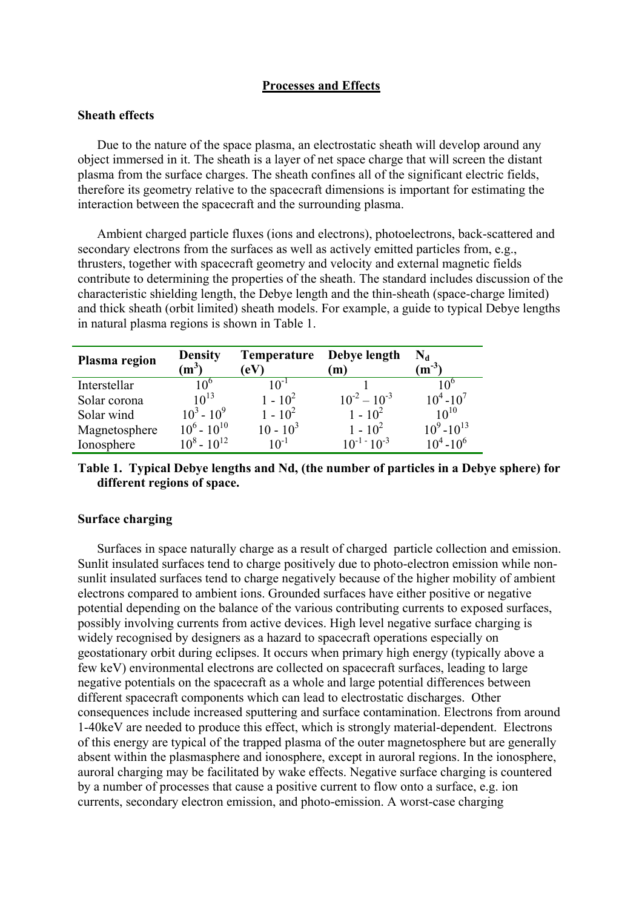## **Processes and Effects**

### **Sheath effects**

Due to the nature of the space plasma, an electrostatic sheath will develop around any object immersed in it. The sheath is a layer of net space charge that will screen the distant plasma from the surface charges. The sheath confines all of the significant electric fields, therefore its geometry relative to the spacecraft dimensions is important for estimating the interaction between the spacecraft and the surrounding plasma.

Ambient charged particle fluxes (ions and electrons), photoelectrons, back-scattered and secondary electrons from the surfaces as well as actively emitted particles from, e.g., thrusters, together with spacecraft geometry and velocity and external magnetic fields contribute to determining the properties of the sheath. The standard includes discussion of the characteristic shielding length, the Debye length and the thin-sheath (space-charge limited) and thick sheath (orbit limited) sheath models. For example, a guide to typical Debye lengths in natural plasma regions is shown in [Table 1.](#page-3-0)

| Plasma region | <b>Density</b><br>$\rm(m^3)$ | Temperature<br>$\left( eV\right)$ | Debye length<br>m)    | $m^{-3}$         |
|---------------|------------------------------|-----------------------------------|-----------------------|------------------|
| Interstellar  | 10 <sup>o</sup>              | 1 $\bigcap_{1}$                   |                       | $\mathbf{v}$     |
| Solar corona  | $10^{13}$                    | $1 - 10^{2}$                      | $10^{-2} - 10^{-3}$   | $10^4 - 10^7$    |
| Solar wind    | $10^3 - 10^9$                | $1 - 10^2$                        | $1 - 10^2$            | $10^{10}$        |
| Magnetosphere | $10^6 - 10^{10}$             | $10 - 10^3$                       | $1 - 10^{2}$          | $10^9 - 10^{13}$ |
| Ionosphere    | $10^8 - 10^{12}$             | $10^{-1}$                         | $10^{-1}$ = $10^{-3}$ | $10^4 - 10^6$    |

# <span id="page-3-0"></span>**Table 1. Typical Debye lengths and Nd, (the number of particles in a Debye sphere) for different regions of space.**

## **Surface charging**

Surfaces in space naturally charge as a result of charged particle collection and emission. Sunlit insulated surfaces tend to charge positively due to photo-electron emission while nonsunlit insulated surfaces tend to charge negatively because of the higher mobility of ambient electrons compared to ambient ions. Grounded surfaces have either positive or negative potential depending on the balance of the various contributing currents to exposed surfaces, possibly involving currents from active devices. High level negative surface charging is widely recognised by designers as a hazard to spacecraft operations especially on geostationary orbit during eclipses. It occurs when primary high energy (typically above a few keV) environmental electrons are collected on spacecraft surfaces, leading to large negative potentials on the spacecraft as a whole and large potential differences between different spacecraft components which can lead to electrostatic discharges. Other consequences include increased sputtering and surface contamination. Electrons from around 1-40keV are needed to produce this effect, which is strongly material-dependent. Electrons of this energy are typical of the trapped plasma of the outer magnetosphere but are generally absent within the plasmasphere and ionosphere, except in auroral regions. In the ionosphere, auroral charging may be facilitated by wake effects. Negative surface charging is countered by a number of processes that cause a positive current to flow onto a surface, e.g. ion currents, secondary electron emission, and photo-emission. A worst-case charging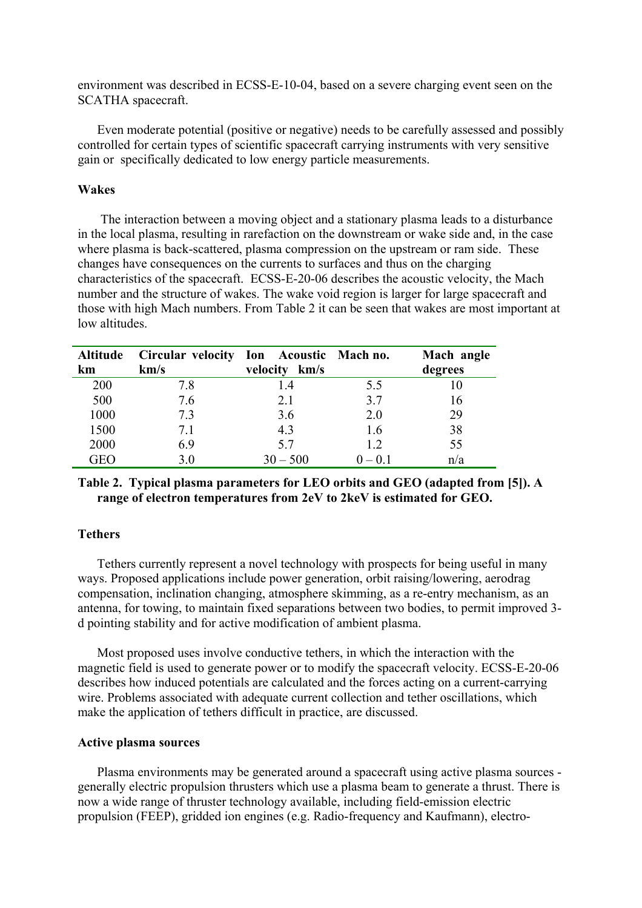environment was described in ECSS-E-10-04, based on a severe charging event seen on the SCATHA spacecraft.

Even moderate potential (positive or negative) needs to be carefully assessed and possibly controlled for certain types of scientific spacecraft carrying instruments with very sensitive gain or specifically dedicated to low energy particle measurements.

### **Wakes**

The interaction between a moving object and a stationary plasma leads to a disturbance in the local plasma, resulting in rarefaction on the downstream or wake side and, in the case where plasma is back-scattered, plasma compression on the upstream or ram side. These changes have consequences on the currents to surfaces and thus on the charging characteristics of the spacecraft. ECSS-E-20-06 describes the acoustic velocity, the Mach number and the structure of wakes. The wake void region is larger for large spacecraft and those with high Mach numbers. From [Table 2](#page-4-0) it can be seen that wakes are most important at low altitudes.

| <b>Altitude</b> | Circular velocity Ion Acoustic Mach no. |               |           | Mach angle |
|-----------------|-----------------------------------------|---------------|-----------|------------|
| km              | km/s                                    | velocity km/s |           | degrees    |
| 200             | 7.8                                     | 1.4           | 5.5       |            |
| 500             | 7.6                                     | 2.1           | 3.7       | 16         |
| 1000            | 7.3                                     | 3.6           | 2.0       | 29         |
| 1500            | 7.1                                     | 4.3           | 1.6       | 38         |
| 2000            | 6.9                                     | 5.7           | 1.2       | 55         |
| GEO             | 30                                      | $30 - 500$    | $0 - 0.1$ | n/a        |

# <span id="page-4-0"></span>**Table 2. Typical plasma parameters for LEO orbits and GEO (adapted from [5]). A range of electron temperatures from 2eV to 2keV is estimated for GEO.**

### **Tethers**

Tethers currently represent a novel technology with prospects for being useful in many ways. Proposed applications include power generation, orbit raising/lowering, aerodrag compensation, inclination changing, atmosphere skimming, as a re-entry mechanism, as an antenna, for towing, to maintain fixed separations between two bodies, to permit improved 3 d pointing stability and for active modification of ambient plasma.

Most proposed uses involve conductive tethers, in which the interaction with the magnetic field is used to generate power or to modify the spacecraft velocity. ECSS-E-20-06 describes how induced potentials are calculated and the forces acting on a current-carrying wire. Problems associated with adequate current collection and tether oscillations, which make the application of tethers difficult in practice, are discussed.

### **Active plasma sources**

Plasma environments may be generated around a spacecraft using active plasma sources generally electric propulsion thrusters which use a plasma beam to generate a thrust. There is now a wide range of thruster technology available, including field-emission electric propulsion (FEEP), gridded ion engines (e.g. Radio-frequency and Kaufmann), electro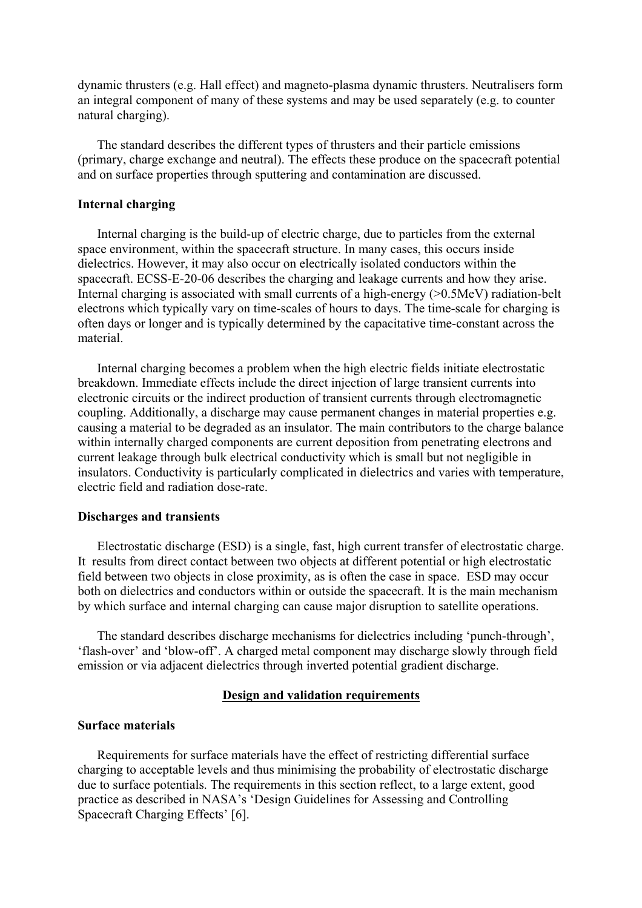dynamic thrusters (e.g. Hall effect) and magneto-plasma dynamic thrusters. Neutralisers form an integral component of many of these systems and may be used separately (e.g. to counter natural charging).

The standard describes the different types of thrusters and their particle emissions (primary, charge exchange and neutral). The effects these produce on the spacecraft potential and on surface properties through sputtering and contamination are discussed.

### **Internal charging**

Internal charging is the build-up of electric charge, due to particles from the external space environment, within the spacecraft structure. In many cases, this occurs inside dielectrics. However, it may also occur on electrically isolated conductors within the spacecraft. ECSS-E-20-06 describes the charging and leakage currents and how they arise. Internal charging is associated with small currents of a high-energy (>0.5MeV) radiation-belt electrons which typically vary on time-scales of hours to days. The time-scale for charging is often days or longer and is typically determined by the capacitative time-constant across the material.

Internal charging becomes a problem when the high electric fields initiate electrostatic breakdown. Immediate effects include the direct injection of large transient currents into electronic circuits or the indirect production of transient currents through electromagnetic coupling. Additionally, a discharge may cause permanent changes in material properties e.g. causing a material to be degraded as an insulator. The main contributors to the charge balance within internally charged components are current deposition from penetrating electrons and current leakage through bulk electrical conductivity which is small but not negligible in insulators. Conductivity is particularly complicated in dielectrics and varies with temperature, electric field and radiation dose-rate.

#### **Discharges and transients**

Electrostatic discharge (ESD) is a single, fast, high current transfer of electrostatic charge. It results from direct contact between two objects at different potential or high electrostatic field between two objects in close proximity, as is often the case in space. ESD may occur both on dielectrics and conductors within or outside the spacecraft. It is the main mechanism by which surface and internal charging can cause major disruption to satellite operations.

The standard describes discharge mechanisms for dielectrics including 'punch-through', 'flash-over' and 'blow-off'. A charged metal component may discharge slowly through field emission or via adjacent dielectrics through inverted potential gradient discharge.

### **Design and validation requirements**

# **Surface materials**

Requirements for surface materials have the effect of restricting differential surface charging to acceptable levels and thus minimising the probability of electrostatic discharge due to surface potentials. The requirements in this section reflect, to a large extent, good practice as described in NASA's 'Design Guidelines for Assessing and Controlling Spacecraft Charging Effects' [6].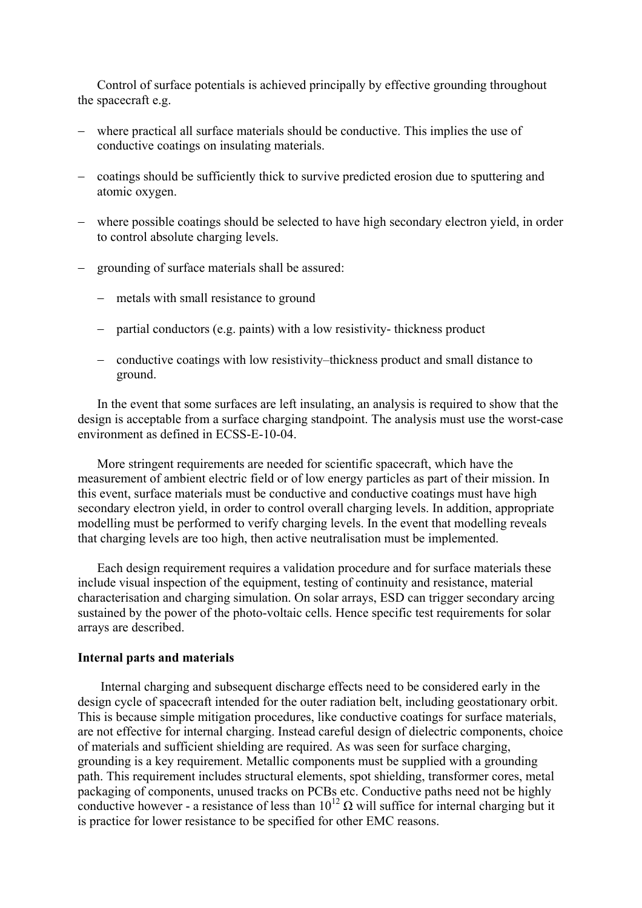Control of surface potentials is achieved principally by effective grounding throughout the spacecraft e.g.

- where practical all surface materials should be conductive. This implies the use of conductive coatings on insulating materials.
- − coatings should be sufficiently thick to survive predicted erosion due to sputtering and atomic oxygen.
- − where possible coatings should be selected to have high secondary electron yield, in order to control absolute charging levels.
- − grounding of surface materials shall be assured:
	- − metals with small resistance to ground
	- − partial conductors (e.g. paints) with a low resistivity- thickness product
	- − conductive coatings with low resistivity–thickness product and small distance to ground.

In the event that some surfaces are left insulating, an analysis is required to show that the design is acceptable from a surface charging standpoint. The analysis must use the worst-case environment as defined in ECSS-E-10-04.

More stringent requirements are needed for scientific spacecraft, which have the measurement of ambient electric field or of low energy particles as part of their mission. In this event, surface materials must be conductive and conductive coatings must have high secondary electron yield, in order to control overall charging levels. In addition, appropriate modelling must be performed to verify charging levels. In the event that modelling reveals that charging levels are too high, then active neutralisation must be implemented.

Each design requirement requires a validation procedure and for surface materials these include visual inspection of the equipment, testing of continuity and resistance, material characterisation and charging simulation. On solar arrays, ESD can trigger secondary arcing sustained by the power of the photo-voltaic cells. Hence specific test requirements for solar arrays are described.

#### **Internal parts and materials**

Internal charging and subsequent discharge effects need to be considered early in the design cycle of spacecraft intended for the outer radiation belt, including geostationary orbit. This is because simple mitigation procedures, like conductive coatings for surface materials, are not effective for internal charging. Instead careful design of dielectric components, choice of materials and sufficient shielding are required. As was seen for surface charging, grounding is a key requirement. Metallic components must be supplied with a grounding path. This requirement includes structural elements, spot shielding, transformer cores, metal packaging of components, unused tracks on PCBs etc. Conductive paths need not be highly conductive however - a resistance of less than  $10^{12} \Omega$  will suffice for internal charging but it is practice for lower resistance to be specified for other EMC reasons.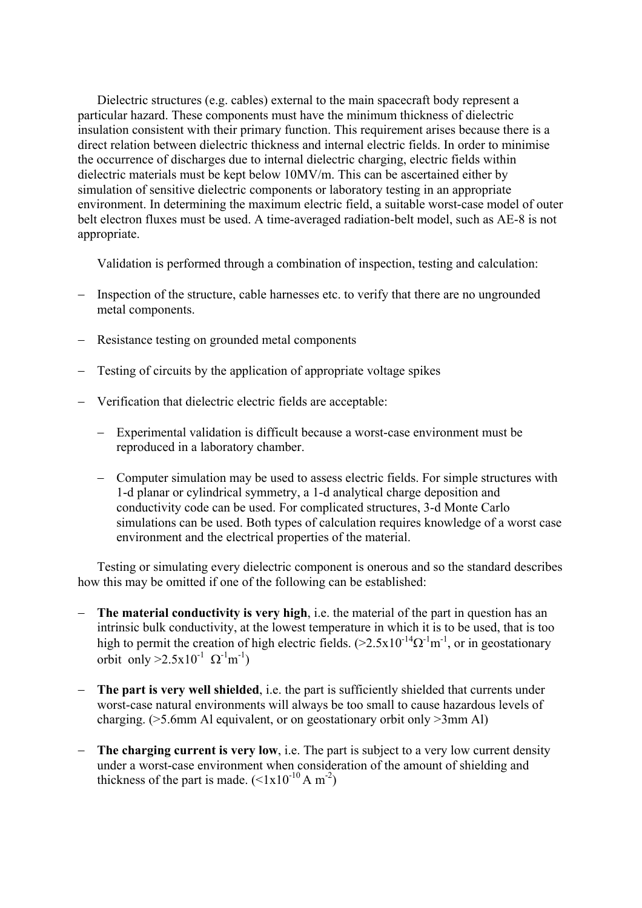Dielectric structures (e.g. cables) external to the main spacecraft body represent a particular hazard. These components must have the minimum thickness of dielectric insulation consistent with their primary function. This requirement arises because there is a direct relation between dielectric thickness and internal electric fields. In order to minimise the occurrence of discharges due to internal dielectric charging, electric fields within dielectric materials must be kept below 10MV/m. This can be ascertained either by simulation of sensitive dielectric components or laboratory testing in an appropriate environment. In determining the maximum electric field, a suitable worst-case model of outer belt electron fluxes must be used. A time-averaged radiation-belt model, such as AE-8 is not appropriate.

Validation is performed through a combination of inspection, testing and calculation:

- − Inspection of the structure, cable harnesses etc. to verify that there are no ungrounded metal components.
- − Resistance testing on grounded metal components
- − Testing of circuits by the application of appropriate voltage spikes
- − Verification that dielectric electric fields are acceptable:
	- − Experimental validation is difficult because a worst-case environment must be reproduced in a laboratory chamber.
	- − Computer simulation may be used to assess electric fields. For simple structures with 1-d planar or cylindrical symmetry, a 1-d analytical charge deposition and conductivity code can be used. For complicated structures, 3-d Monte Carlo simulations can be used. Both types of calculation requires knowledge of a worst case environment and the electrical properties of the material.

Testing or simulating every dielectric component is onerous and so the standard describes how this may be omitted if one of the following can be established:

- − **The material conductivity is very high**, i.e. the material of the part in question has an intrinsic bulk conductivity, at the lowest temperature in which it is to be used, that is too high to permit the creation of high electric fields.  $(\geq 2.5x10^{-14} \Omega^{-1} \text{m}^{-1})$ , or in geostationary orbit only  $>2.5x10^{-1}$   $\Omega^{-1}$ m<sup>-1</sup>)
- − **The part is very well shielded**, i.e. the part is sufficiently shielded that currents under worst-case natural environments will always be too small to cause hazardous levels of charging. (>5.6mm Al equivalent, or on geostationary orbit only >3mm Al)
- − **The charging current is very low**, i.e. The part is subject to a very low current density under a worst-case environment when consideration of the amount of shielding and thickness of the part is made.  $(<1x10^{-10} A m^{-2})$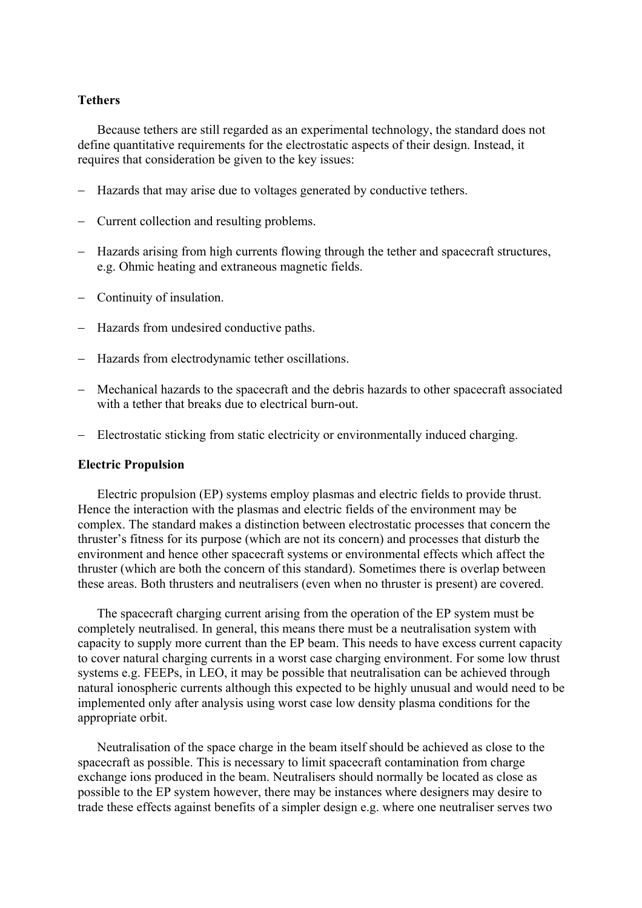#### **Tethers**

Because tethers are still regarded as an experimental technology, the standard does not define quantitative requirements for the electrostatic aspects of their design. Instead, it requires that consideration be given to the key issues:

- − Hazards that may arise due to voltages generated by conductive tethers.
- − Current collection and resulting problems.
- − Hazards arising from high currents flowing through the tether and spacecraft structures, e.g. Ohmic heating and extraneous magnetic fields.
- − Continuity of insulation.
- − Hazards from undesired conductive paths.
- − Hazards from electrodynamic tether oscillations.
- − Mechanical hazards to the spacecraft and the debris hazards to other spacecraft associated with a tether that breaks due to electrical burn-out.
- − Electrostatic sticking from static electricity or environmentally induced charging.

#### **Electric Propulsion**

Electric propulsion (EP) systems employ plasmas and electric fields to provide thrust. Hence the interaction with the plasmas and electric fields of the environment may be complex. The standard makes a distinction between electrostatic processes that concern the thruster's fitness for its purpose (which are not its concern) and processes that disturb the environment and hence other spacecraft systems or environmental effects which affect the thruster (which are both the concern of this standard). Sometimes there is overlap between these areas. Both thrusters and neutralisers (even when no thruster is present) are covered.

The spacecraft charging current arising from the operation of the EP system must be completely neutralised. In general, this means there must be a neutralisation system with capacity to supply more current than the EP beam. This needs to have excess current capacity to cover natural charging currents in a worst case charging environment. For some low thrust systems e.g. FEEPs, in LEO, it may be possible that neutralisation can be achieved through natural ionospheric currents although this expected to be highly unusual and would need to be implemented only after analysis using worst case low density plasma conditions for the appropriate orbit.

Neutralisation of the space charge in the beam itself should be achieved as close to the spacecraft as possible. This is necessary to limit spacecraft contamination from charge exchange ions produced in the beam. Neutralisers should normally be located as close as possible to the EP system however, there may be instances where designers may desire to trade these effects against benefits of a simpler design e.g. where one neutraliser serves two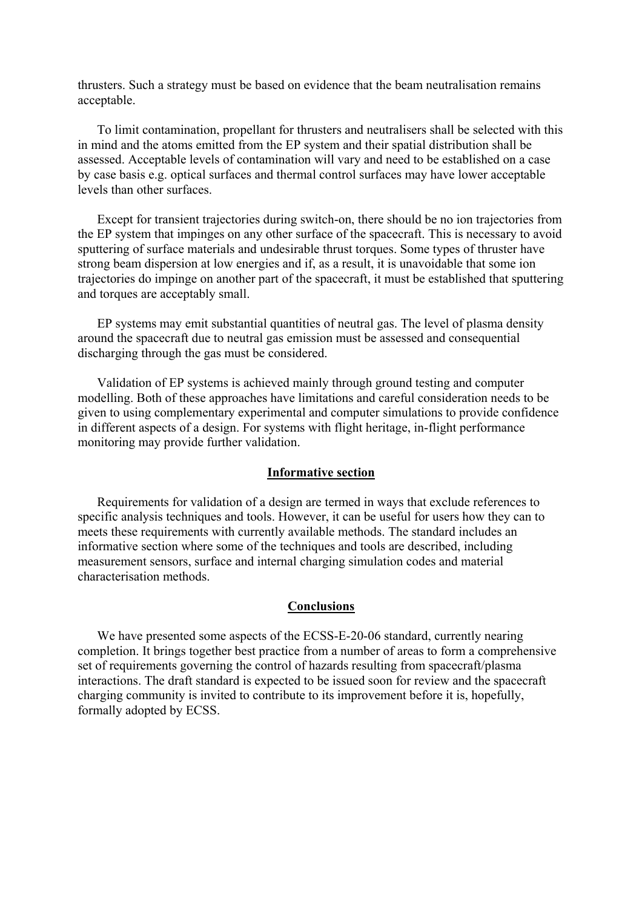thrusters. Such a strategy must be based on evidence that the beam neutralisation remains acceptable.

To limit contamination, propellant for thrusters and neutralisers shall be selected with this in mind and the atoms emitted from the EP system and their spatial distribution shall be assessed. Acceptable levels of contamination will vary and need to be established on a case by case basis e.g. optical surfaces and thermal control surfaces may have lower acceptable levels than other surfaces.

Except for transient trajectories during switch-on, there should be no ion trajectories from the EP system that impinges on any other surface of the spacecraft. This is necessary to avoid sputtering of surface materials and undesirable thrust torques. Some types of thruster have strong beam dispersion at low energies and if, as a result, it is unavoidable that some ion trajectories do impinge on another part of the spacecraft, it must be established that sputtering and torques are acceptably small.

EP systems may emit substantial quantities of neutral gas. The level of plasma density around the spacecraft due to neutral gas emission must be assessed and consequential discharging through the gas must be considered.

Validation of EP systems is achieved mainly through ground testing and computer modelling. Both of these approaches have limitations and careful consideration needs to be given to using complementary experimental and computer simulations to provide confidence in different aspects of a design. For systems with flight heritage, in-flight performance monitoring may provide further validation.

#### **Informative section**

Requirements for validation of a design are termed in ways that exclude references to specific analysis techniques and tools. However, it can be useful for users how they can to meets these requirements with currently available methods. The standard includes an informative section where some of the techniques and tools are described, including measurement sensors, surface and internal charging simulation codes and material characterisation methods.

### **Conclusions**

We have presented some aspects of the ECSS-E-20-06 standard, currently nearing completion. It brings together best practice from a number of areas to form a comprehensive set of requirements governing the control of hazards resulting from spacecraft/plasma interactions. The draft standard is expected to be issued soon for review and the spacecraft charging community is invited to contribute to its improvement before it is, hopefully, formally adopted by ECSS.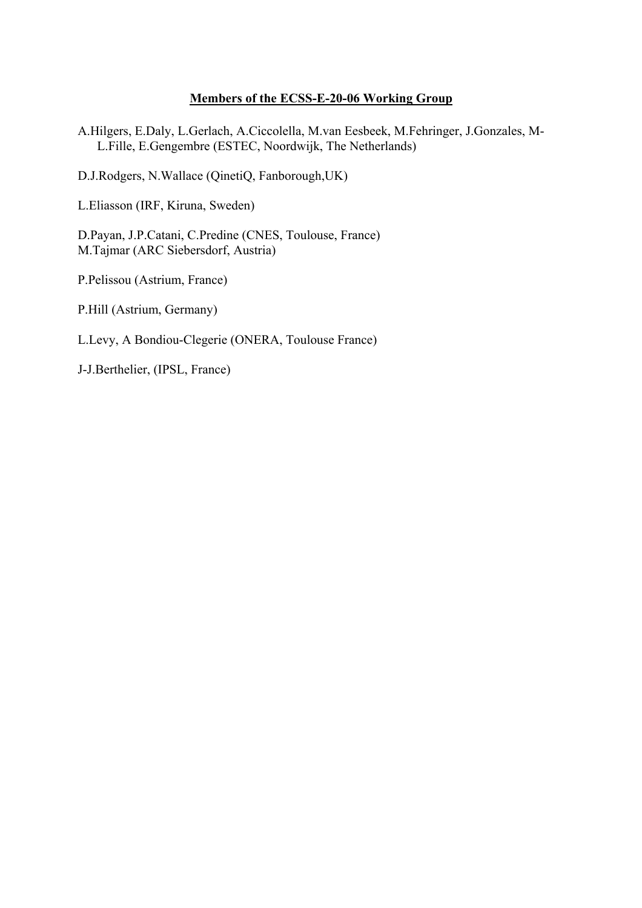# **Members of the ECSS-E-20-06 Working Group**

A.Hilgers, E.Daly, L.Gerlach, A.Ciccolella, M.van Eesbeek, M.Fehringer, J.Gonzales, M-L.Fille, E.Gengembre (ESTEC, Noordwijk, The Netherlands)

D.J.Rodgers, N.Wallace (QinetiQ, Fanborough,UK)

L.Eliasson (IRF, Kiruna, Sweden)

D.Payan, J.P.Catani, C.Predine (CNES, Toulouse, France) M.Tajmar (ARC Siebersdorf, Austria)

P.Pelissou (Astrium, France)

P.Hill (Astrium, Germany)

L.Levy, A Bondiou-Clegerie (ONERA, Toulouse France)

J-J.Berthelier, (IPSL, France)